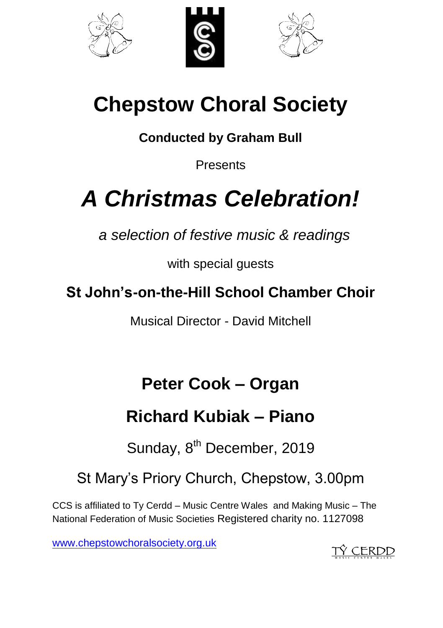





# **Chepstow Choral Society**

**Conducted by Graham Bull** 

**Presents** 

# *A Christmas Celebration!*

*a selection of festive music & readings*

with special guests

**St John's-on-the-Hill School Chamber Choir**

Musical Director - David Mitchell

## **Peter Cook – Organ**

## **Richard Kubiak – Piano**

Sunday, 8<sup>th</sup> December, 2019

St Mary's Priory Church, Chepstow, 3.00pm

CCS is affiliated to Ty Cerdd – Music Centre Wales and Making Music – The National Federation of Music Societies Registered charity no. 1127098

[www.chepstowchoralsociety.org.uk](http://www.chepstowchoralsociety.org.uk/)

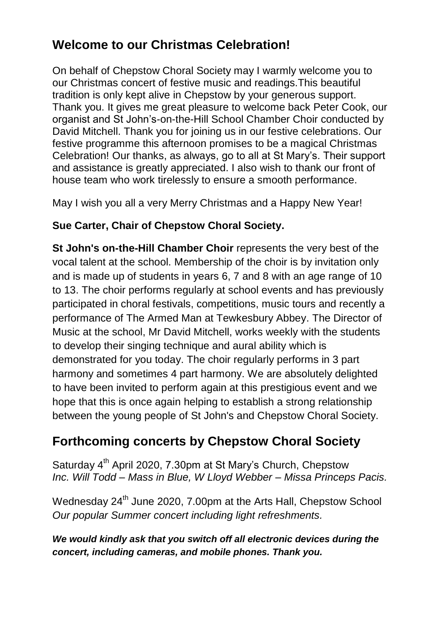### **Welcome to our Christmas Celebration!**

On behalf of Chepstow Choral Society may I warmly welcome you to our Christmas concert of festive music and readings.This beautiful tradition is only kept alive in Chepstow by your generous support. Thank you. It gives me great pleasure to welcome back Peter Cook, our organist and St John's-on-the-Hill School Chamber Choir conducted by David Mitchell. Thank you for joining us in our festive celebrations. Our festive programme this afternoon promises to be a magical Christmas Celebration! Our thanks, as always, go to all at St Mary's. Their support and assistance is greatly appreciated. I also wish to thank our front of house team who work tirelessly to ensure a smooth performance.

May I wish you all a very Merry Christmas and a Happy New Year!

#### **Sue Carter, Chair of Chepstow Choral Society.**

**St John's on-the-Hill Chamber Choir** represents the very best of the vocal talent at the school. Membership of the choir is by invitation only and is made up of students in years 6, 7 and 8 with an age range of 10 to 13. The choir performs regularly at school events and has previously participated in choral festivals, competitions, music tours and recently a performance of The Armed Man at Tewkesbury Abbey. The Director of Music at the school, Mr David Mitchell, works weekly with the students to develop their singing technique and aural ability which is demonstrated for you today. The choir regularly performs in 3 part harmony and sometimes 4 part harmony. We are absolutely delighted to have been invited to perform again at this prestigious event and we hope that this is once again helping to establish a strong relationship between the young people of St John's and Chepstow Choral Society.

### **Forthcoming concerts by Chepstow Choral Society**

Saturday 4<sup>th</sup> April 2020, 7.30pm at St Mary's Church, Chepstow *Inc. Will Todd – Mass in Blue, W Lloyd Webber – Missa Princeps Pacis.*

Wednesday 24<sup>th</sup> June 2020, 7.00pm at the Arts Hall, Chepstow School *Our popular Summer concert including light refreshments.*

#### *We would kindly ask that you switch off all electronic devices during the concert, including cameras, and mobile phones. Thank you.*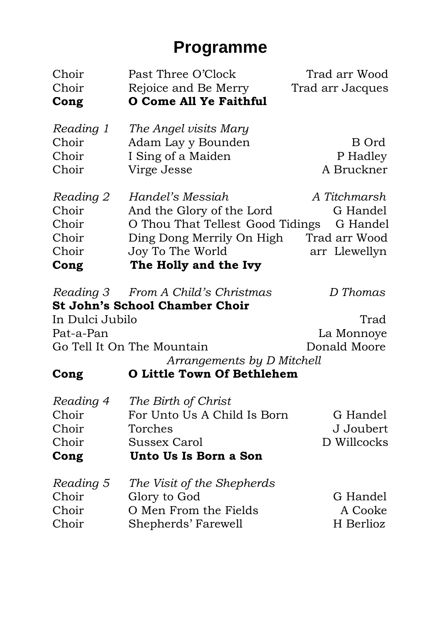### **Programme**

| Choir           | Past Three O'Clock                    | Trad arr Wood    |
|-----------------|---------------------------------------|------------------|
| Choir           | Rejoice and Be Merry                  | Trad arr Jacques |
| Cong            | O Come All Ye Faithful                |                  |
| Reading 1       | The Angel visits Mary                 |                  |
| Choir           | Adam Lay y Bounden                    | B Ord            |
| Choir           | I Sing of a Maiden                    | P Hadley         |
| Choir           | Virge Jesse                           | A Bruckner       |
| Reading 2       | Handel's Messiah                      | A Titchmarsh     |
| Choir           | And the Glory of the Lord             | G Handel         |
| Choir           | O Thou That Tellest Good Tidings      | G Handel         |
| Choir           | Ding Dong Merrily On High             | Trad arr Wood    |
| Choir           | Joy To The World                      | arr Llewellyn    |
| Cong            | The Holly and the Ivy                 |                  |
| Reading 3       | From A Child's Christmas              | D Thomas         |
|                 | <b>St John's School Chamber Choir</b> |                  |
| In Dulci Jubilo |                                       | Trad             |
| Pat-a-Pan       |                                       | La Monnoye       |
|                 | Go Tell It On The Mountain            | Donald Moore     |
|                 | Arrangements by D Mitchell            |                  |
| Cong            | <b>O Little Town Of Bethlehem</b>     |                  |
| Reading 4       | The Birth of Christ                   |                  |
| Choir           | For Unto Us A Child Is Born           | G Handel         |
| Choir           | Torches                               | J Joubert        |
| Choir           | <b>Sussex Carol</b>                   | D Willcocks      |
| Cong            | Unto Us Is Born a Son                 |                  |
| Reading 5       | The Visit of the Shepherds            |                  |
| Choir           | Glory to God                          | G Handel         |
| Choir           | O Men From the Fields                 | A Cooke          |
| Choir           | Shepherds' Farewell                   | H Berlioz        |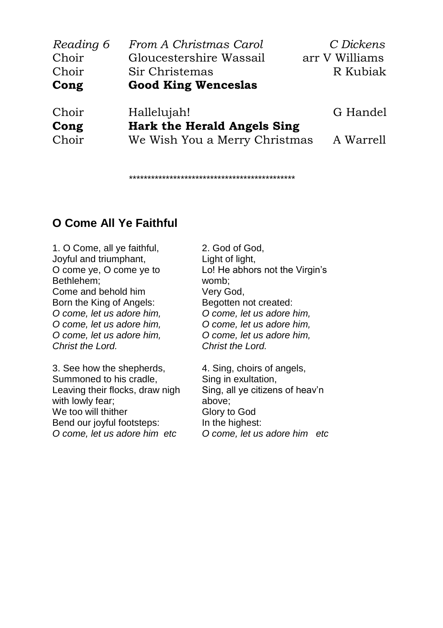| Reading 6 | From A Christmas Carol        | C Dickens      |  |
|-----------|-------------------------------|----------------|--|
| Choir     | Gloucestershire Wassail       | arr V Williams |  |
| Choir     | Sir Christemas                | R Kubiak       |  |
| Cong      | <b>Good King Wenceslas</b>    |                |  |
| Choir     | Hallelujah!                   | G Handel       |  |
| Cong      | Hark the Herald Angels Sing   |                |  |
| Choir     | We Wish You a Merry Christmas | A Warrell      |  |

\*\*\*\*\*\*\*\*\*\*\*\*\*\*\*\*\*\*\*\*\*\*\*\*\*\*\*\*\*\*\*\*\*\*\*\*\*\*\*\*\*\*\*\*\*

#### **O Come All Ye Faithful**

1. O Come, all ye faithful, Joyful and triumphant, O come ye, O come ye to Bethlehem; Come and behold him Born the King of Angels: *O come, let us adore him, O come, let us adore him, O come, let us adore him, Christ the Lord.*

3. See how the shepherds, Summoned to his cradle, Leaving their flocks, draw nigh with lowly fear; We too will thither Bend our joyful footsteps: *O come, let us adore him etc*

2. God of God, Light of light, Lo! He abhors not the Virgin's womb; Very God, Begotten not created: *O come, let us adore him, O come, let us adore him, O come, let us adore him, Christ the Lord.*

4. Sing, choirs of angels, Sing in exultation, Sing, all ye citizens of heav'n above; Glory to God In the highest: *O come, let us adore him etc*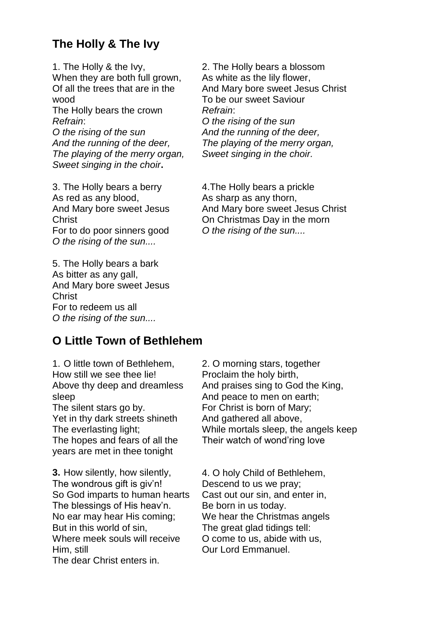#### **The Holly & The Ivy**

1. The Holly & the Ivy, When they are both full grown. Of all the trees that are in the wood

The Holly bears the crown *Refrain*:

*O the rising of the sun And the running of the deer, The playing of the merry organ, Sweet singing in the choir***.**

3. The Holly bears a berry As red as any blood, And Mary bore sweet Jesus Christ For to do poor sinners good *O the rising of the sun....*

5. The Holly bears a bark As bitter as any gall, And Mary bore sweet Jesus Christ For to redeem us all *O the rising of the sun....*

#### **O Little Town of Bethlehem**

1. O little town of Bethlehem, How still we see thee lie! Above thy deep and dreamless sleep The silent stars go by. Yet in thy dark streets shineth The everlasting light; The hopes and fears of all the years are met in thee tonight

**3.** How silently, how silently, The wondrous gift is giv'n! So God imparts to human hearts The blessings of His heav'n. No ear may hear His coming; But in this world of sin, Where meek souls will receive Him, still The dear Christ enters in.

2. The Holly bears a blossom As white as the lily flower, And Mary bore sweet Jesus Christ To be our sweet Saviour *Refrain*: *O the rising of the sun And the running of the deer, The playing of the merry organ,*

*Sweet singing in the choir.*

4.The Holly bears a prickle As sharp as any thorn, And Mary bore sweet Jesus Christ On Christmas Day in the morn *O the rising of the sun....*

2. O morning stars, together Proclaim the holy birth, And praises sing to God the King, And peace to men on earth; For Christ is born of Mary; And gathered all above, While mortals sleep, the angels keep Their watch of wond'ring love

4. O holy Child of Bethlehem, Descend to us we pray; Cast out our sin, and enter in, Be born in us today. We hear the Christmas angels The great glad tidings tell: O come to us, abide with us, Our Lord Emmanuel.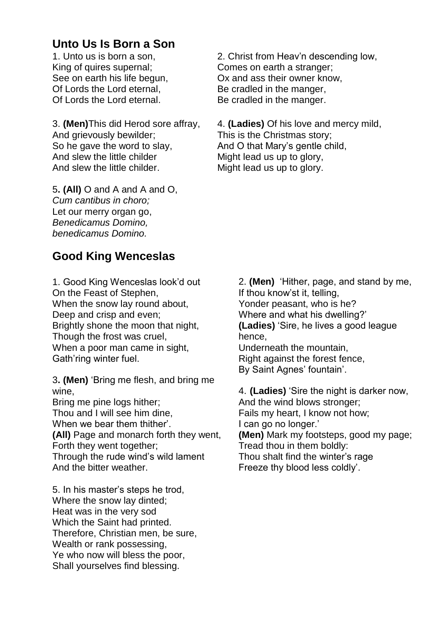#### **Unto Us Is Born a Son**

1. Unto us is born a son, King of quires supernal; See on earth his life begun, Of Lords the Lord eternal, Of Lords the Lord eternal.

3. **(Men)**This did Herod sore affray, And grievously bewilder; So he gave the word to slay, And slew the little childer And slew the little childer.

5**. (All)** O and A and A and O, *Cum cantibus in choro;* Let our merry organ go, *Benedicamus Domino, benedicamus Domino.*

#### **Good King Wenceslas**

1. Good King Wenceslas look'd out On the Feast of Stephen, When the snow lay round about, Deep and crisp and even; Brightly shone the moon that night, Though the frost was cruel, When a poor man came in sight, Gath'ring winter fuel.

3**. (Men)** 'Bring me flesh, and bring me wine,

Bring me pine logs hither; Thou and I will see him dine, When we bear them thither'. **(All)** Page and monarch forth they went, Forth they went together; Through the rude wind's wild lament

And the bitter weather.

5. In his master's steps he trod, Where the snow lay dinted; Heat was in the very sod Which the Saint had printed. Therefore, Christian men, be sure, Wealth or rank possessing, Ye who now will bless the poor, Shall yourselves find blessing.

2. Christ from Heav'n descending low, Comes on earth a stranger; Ox and ass their owner know, Be cradled in the manger, Be cradled in the manger.

4. **(Ladies)** Of his love and mercy mild, This is the Christmas story; And O that Mary's gentle child, Might lead us up to glory, Might lead us up to glory.

> 2. **(Men)** 'Hither, page, and stand by me, If thou know'st it, telling, Yonder peasant, who is he? Where and what his dwelling?' **(Ladies)** 'Sire, he lives a good league hence,

Underneath the mountain, Right against the forest fence, By Saint Agnes' fountain'.

4. **(Ladies)** 'Sire the night is darker now, And the wind blows stronger; Fails my heart, I know not how; I can go no longer.' **(Men)** Mark my footsteps, good my page; Tread thou in them boldly: Thou shalt find the winter's rage Freeze thy blood less coldly'.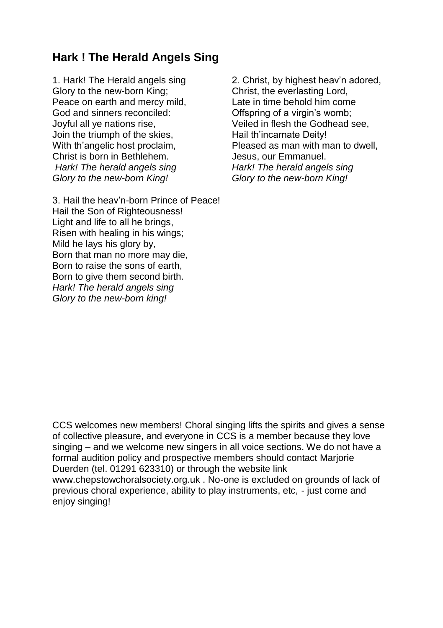#### **Hark ! The Herald Angels Sing**

1. Hark! The Herald angels sing Glory to the new-born King; Peace on earth and mercy mild, God and sinners reconciled: Joyful all ye nations rise, Join the triumph of the skies, With th'angelic host proclaim, Christ is born in Bethlehem. *Hark! The herald angels sing Glory to the new-born King!*

3. Hail the heav'n-born Prince of Peace! Hail the Son of Righteousness! Light and life to all he brings, Risen with healing in his wings; Mild he lays his glory by, Born that man no more may die, Born to raise the sons of earth, Born to give them second birth. *Hark! The herald angels sing Glory to the new-born king!*

2. Christ, by highest heav'n adored, Christ, the everlasting Lord, Late in time behold him come Offspring of a virgin's womb; Veiled in flesh the Godhead see, Hail th'incarnate Deity! Pleased as man with man to dwell, Jesus, our Emmanuel. *Hark! The herald angels sing Glory to the new-born King!*

CCS welcomes new members! Choral singing lifts the spirits and gives a sense of collective pleasure, and everyone in CCS is a member because they love singing – and we welcome new singers in all voice sections. We do not have a formal audition policy and prospective members should contact Marjorie Duerden (tel. 01291 623310) or through the website link www.chepstowchoralsociety.org.uk . No-one is excluded on grounds of lack of previous choral experience, ability to play instruments, etc, - just come and enjoy singing!